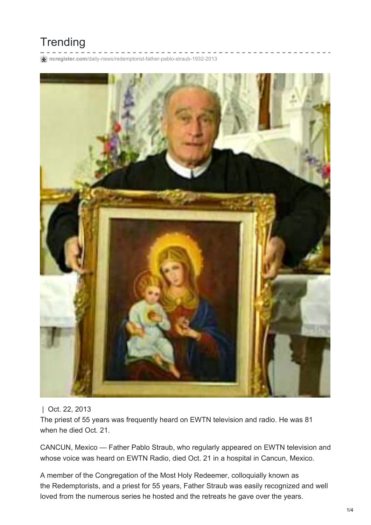## **Trending**

**ncregister.com**[/daily-news/redemptorist-father-pablo-straub-1932-2013](http://www.ncregister.com/daily-news/redemptorist-father-pablo-straub-1932-2013)



## | Oct. 22, 2013

The priest of 55 years was frequently heard on EWTN television and radio. He was 81 when he died Oct. 21.

CANCUN, Mexico — Father Pablo Straub, who regularly appeared on EWTN television and whose voice was heard on EWTN Radio, died Oct. 21 in a hospital in Cancun, Mexico.

A member of the Congregation of the Most Holy Redeemer, colloquially known as the Redemptorists, and a priest for 55 years, Father Straub was easily recognized and well loved from the numerous series he hosted and the retreats he gave over the years.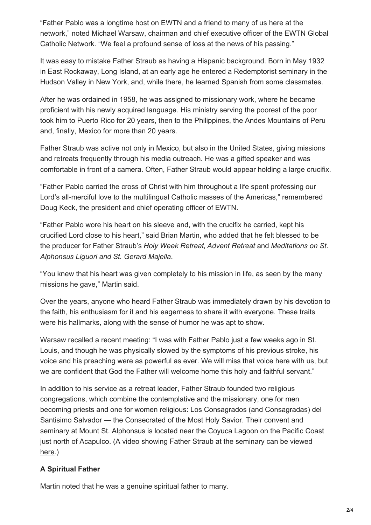"Father Pablo was a longtime host on EWTN and a friend to many of us here at the network," noted Michael Warsaw, chairman and chief executive officer of the EWTN Global Catholic Network. "We feel a profound sense of loss at the news of his passing."

It was easy to mistake Father Straub as having a Hispanic background. Born in May 1932 in East Rockaway, Long Island, at an early age he entered a Redemptorist seminary in the Hudson Valley in New York, and, while there, he learned Spanish from some classmates.

After he was ordained in 1958, he was assigned to missionary work, where he became proficient with his newly acquired language. His ministry serving the poorest of the poor took him to Puerto Rico for 20 years, then to the Philippines, the Andes Mountains of Peru and, finally, Mexico for more than 20 years.

Father Straub was active not only in Mexico, but also in the United States, giving missions and retreats frequently through his media outreach. He was a gifted speaker and was comfortable in front of a camera. Often, Father Straub would appear holding a large crucifix.

"Father Pablo carried the cross of Christ with him throughout a life spent professing our Lord's all-merciful love to the multilingual Catholic masses of the Americas," remembered Doug Keck, the president and chief operating officer of EWTN.

"Father Pablo wore his heart on his sleeve and, with the crucifix he carried, kept his crucified Lord close to his heart," said Brian Martin, who added that he felt blessed to be the producer for Father Straub's *Holy Week Retreat*, *Advent Retreat* and *Meditations on St. Alphonsus Liguori and St. Gerard Majella*.

"You knew that his heart was given completely to his mission in life, as seen by the many missions he gave," Martin said.

Over the years, anyone who heard Father Straub was immediately drawn by his devotion to the faith, his enthusiasm for it and his eagerness to share it with everyone. These traits were his hallmarks, along with the sense of humor he was apt to show.

Warsaw recalled a recent meeting: "I was with Father Pablo just a few weeks ago in St. Louis, and though he was physically slowed by the symptoms of his previous stroke, his voice and his preaching were as powerful as ever. We will miss that voice here with us, but we are confident that God the Father will welcome home this holy and faithful servant."

In addition to his service as a retreat leader, Father Straub founded two religious congregations, which combine the contemplative and the missionary, one for men becoming priests and one for women religious: Los Consagrados (and Consagradas) del Santisimo Salvador — the Consecrated of the Most Holy Savior. Their convent and seminary at Mount St. Alphonsus is located near the Coyuca Lagoon on the Pacific Coast just north of Acapulco. (A video showing Father Straub at the seminary can be viewed [here](http://www.youtube.com/watch?v=Xw_LjQnMPrY).)

## **A Spiritual Father**

Martin noted that he was a genuine spiritual father to many.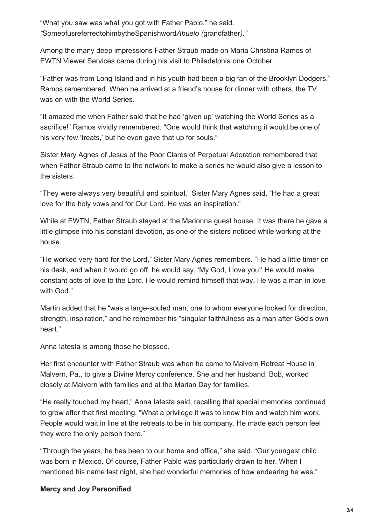"What you saw was what you got with Father Pablo," he said. *"*SomeofusreferredtohimbytheSpanishword*Abuelo (*grandfather*)."*

Among the many deep impressions Father Straub made on Maria Christina Ramos of EWTN Viewer Services came during his visit to Philadelphia one October.

"Father was from Long Island and in his youth had been a big fan of the Brooklyn Dodgers," Ramos remembered. When he arrived at a friend's house for dinner with others, the TV was on with the World Series.

"It amazed me when Father said that he had 'given up' watching the World Series as a sacrifice!" Ramos vividly remembered. "One would think that watching it would be one of his very few 'treats,' but he even gave that up for souls."

Sister Mary Agnes of Jesus of the Poor Clares of Perpetual Adoration remembered that when Father Straub came to the network to make a series he would also give a lesson to the sisters.

"They were always very beautiful and spiritual," Sister Mary Agnes said. "He had a great love for the holy vows and for Our Lord. He was an inspiration."

While at EWTN, Father Straub stayed at the Madonna guest house. It was there he gave a little glimpse into his constant devotion, as one of the sisters noticed while working at the house.

"He worked very hard for the Lord," Sister Mary Agnes remembers. "He had a little timer on his desk, and when it would go off, he would say, 'My God, I love you!' He would make constant acts of love to the Lord. He would remind himself that way. He was a man in love with God."

Martin added that he "was a large-souled man, one to whom everyone looked for direction, strength, inspiration," and he remember his "singular faithfulness as a man after God's own heart."

Anna Iatesta is among those he blessed.

Her first encounter with Father Straub was when he came to Malvern Retreat House in Malvern, Pa., to give a Divine Mercy conference. She and her husband, Bob, worked closely at Malvern with families and at the Marian Day for families.

"He really touched my heart," Anna Iatesta said, recalling that special memories continued to grow after that first meeting. "What a privilege it was to know him and watch him work. People would wait in line at the retreats to be in his company. He made each person feel they were the only person there."

"Through the years, he has been to our home and office," she said. "Our youngest child was born in Mexico. Of course, Father Pablo was particularly drawn to her. When I mentioned his name last night, she had wonderful memories of how endearing he was."

## **Mercy and Joy Personified**